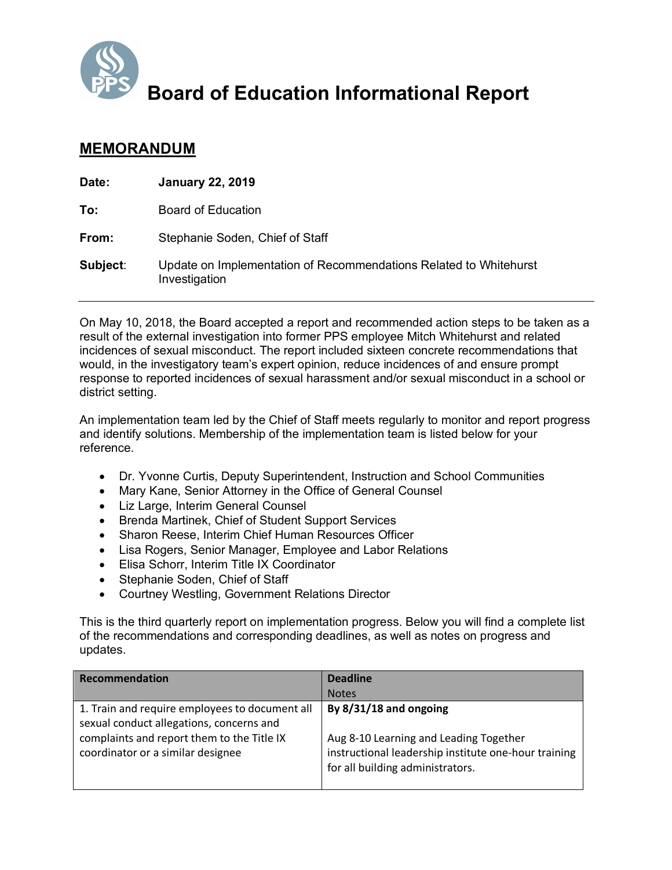

**Board of Education Informational Report**

## **MEMORANDUM**

| Date:    | <b>January 22, 2019</b>                                                            |
|----------|------------------------------------------------------------------------------------|
| To:      | Board of Education                                                                 |
| From:    | Stephanie Soden, Chief of Staff                                                    |
| Subject: | Update on Implementation of Recommendations Related to Whitehurst<br>Investigation |

On May 10, 2018, the Board accepted a report and recommended action steps to be taken as a result of the external investigation into former PPS employee Mitch Whitehurst and related incidences of sexual misconduct. The report included sixteen concrete recommendations that would, in the investigatory team's expert opinion, reduce incidences of and ensure prompt response to reported incidences of sexual harassment and/or sexual misconduct in a school or district setting.

An implementation team led by the Chief of Staff meets regularly to monitor and report progress and identify solutions. Membership of the implementation team is listed below for your reference.

- Dr. Yvonne Curtis, Deputy Superintendent, Instruction and School Communities
- Mary Kane, Senior Attorney in the Office of General Counsel
- Liz Large, Interim General Counsel
- Brenda Martinek, Chief of Student Support Services
- Sharon Reese, Interim Chief Human Resources Officer
- Lisa Rogers, Senior Manager, Employee and Labor Relations
- Elisa Schorr, Interim Title IX Coordinator
- Stephanie Soden, Chief of Staff
- Courtney Westling, Government Relations Director

This is the third quarterly report on implementation progress. Below you will find a complete list of the recommendations and corresponding deadlines, as well as notes on progress and updates.

| <b>Recommendation</b>                                                                                                                                                         | <b>Deadline</b>                                                                                                                                              |
|-------------------------------------------------------------------------------------------------------------------------------------------------------------------------------|--------------------------------------------------------------------------------------------------------------------------------------------------------------|
|                                                                                                                                                                               | <b>Notes</b>                                                                                                                                                 |
| 1. Train and require employees to document all<br>sexual conduct allegations, concerns and<br>complaints and report them to the Title IX<br>coordinator or a similar designee | By 8/31/18 and ongoing<br>Aug 8-10 Learning and Leading Together<br>instructional leadership institute one-hour training<br>for all building administrators. |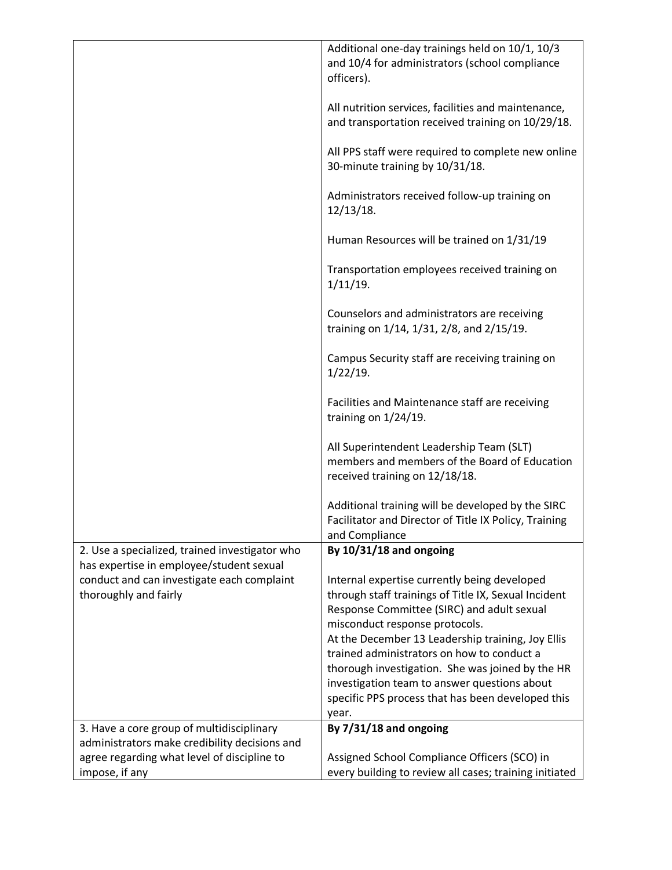|                                                                                              | Additional one-day trainings held on 10/1, 10/3<br>and 10/4 for administrators (school compliance<br>officers).                                                                      |
|----------------------------------------------------------------------------------------------|--------------------------------------------------------------------------------------------------------------------------------------------------------------------------------------|
|                                                                                              | All nutrition services, facilities and maintenance,<br>and transportation received training on 10/29/18.                                                                             |
|                                                                                              | All PPS staff were required to complete new online<br>30-minute training by 10/31/18.                                                                                                |
|                                                                                              | Administrators received follow-up training on<br>12/13/18.                                                                                                                           |
|                                                                                              | Human Resources will be trained on 1/31/19                                                                                                                                           |
|                                                                                              | Transportation employees received training on<br>1/11/19.                                                                                                                            |
|                                                                                              | Counselors and administrators are receiving<br>training on 1/14, 1/31, 2/8, and 2/15/19.                                                                                             |
|                                                                                              | Campus Security staff are receiving training on<br>$1/22/19$ .                                                                                                                       |
|                                                                                              | Facilities and Maintenance staff are receiving<br>training on $1/24/19$ .                                                                                                            |
|                                                                                              | All Superintendent Leadership Team (SLT)<br>members and members of the Board of Education<br>received training on 12/18/18.                                                          |
|                                                                                              | Additional training will be developed by the SIRC<br>Facilitator and Director of Title IX Policy, Training<br>and Compliance                                                         |
| 2. Use a specialized, trained investigator who<br>has expertise in employee/student sexual   | By 10/31/18 and ongoing                                                                                                                                                              |
| conduct and can investigate each complaint<br>thoroughly and fairly                          | Internal expertise currently being developed<br>through staff trainings of Title IX, Sexual Incident<br>Response Committee (SIRC) and adult sexual<br>misconduct response protocols. |
|                                                                                              | At the December 13 Leadership training, Joy Ellis                                                                                                                                    |
|                                                                                              | trained administrators on how to conduct a<br>thorough investigation. She was joined by the HR                                                                                       |
|                                                                                              | investigation team to answer questions about                                                                                                                                         |
|                                                                                              | specific PPS process that has been developed this<br>year.                                                                                                                           |
| 3. Have a core group of multidisciplinary                                                    | By 7/31/18 and ongoing                                                                                                                                                               |
| administrators make credibility decisions and<br>agree regarding what level of discipline to | Assigned School Compliance Officers (SCO) in                                                                                                                                         |
| impose, if any                                                                               | every building to review all cases; training initiated                                                                                                                               |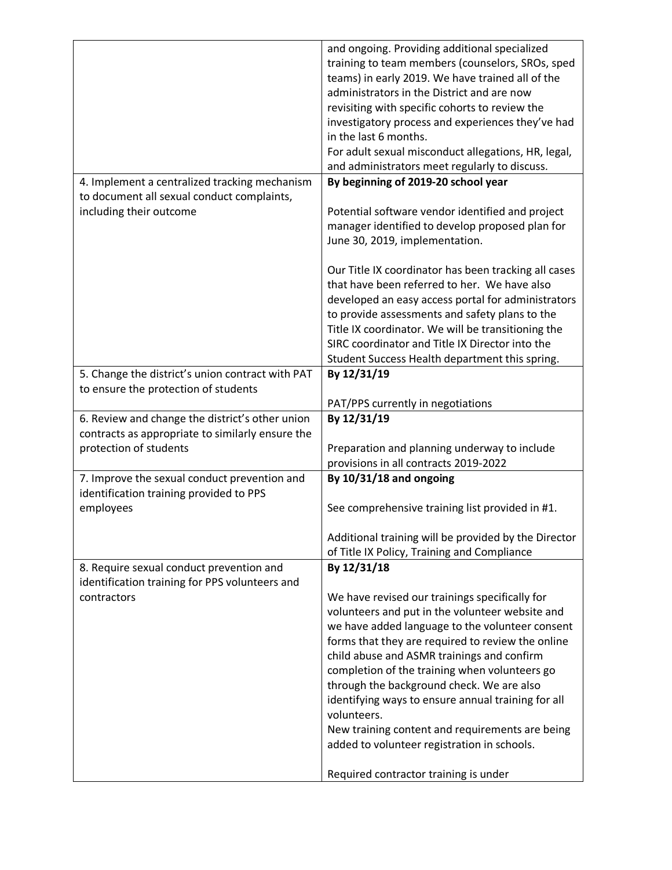|                                                                                         | and ongoing. Providing additional specialized                     |
|-----------------------------------------------------------------------------------------|-------------------------------------------------------------------|
|                                                                                         | training to team members (counselors, SROs, sped                  |
|                                                                                         | teams) in early 2019. We have trained all of the                  |
|                                                                                         | administrators in the District and are now                        |
|                                                                                         | revisiting with specific cohorts to review the                    |
|                                                                                         | investigatory process and experiences they've had                 |
|                                                                                         | in the last 6 months.                                             |
|                                                                                         | For adult sexual misconduct allegations, HR, legal,               |
|                                                                                         | and administrators meet regularly to discuss.                     |
| 4. Implement a centralized tracking mechanism                                           | By beginning of 2019-20 school year                               |
| to document all sexual conduct complaints,                                              |                                                                   |
| including their outcome                                                                 | Potential software vendor identified and project                  |
|                                                                                         | manager identified to develop proposed plan for                   |
|                                                                                         |                                                                   |
|                                                                                         | June 30, 2019, implementation.                                    |
|                                                                                         | Our Title IX coordinator has been tracking all cases              |
|                                                                                         | that have been referred to her. We have also                      |
|                                                                                         | developed an easy access portal for administrators                |
|                                                                                         | to provide assessments and safety plans to the                    |
|                                                                                         | Title IX coordinator. We will be transitioning the                |
|                                                                                         | SIRC coordinator and Title IX Director into the                   |
|                                                                                         | Student Success Health department this spring.                    |
| 5. Change the district's union contract with PAT                                        | By 12/31/19                                                       |
| to ensure the protection of students                                                    |                                                                   |
|                                                                                         |                                                                   |
|                                                                                         | PAT/PPS currently in negotiations                                 |
|                                                                                         |                                                                   |
| 6. Review and change the district's other union                                         | By 12/31/19                                                       |
| contracts as appropriate to similarly ensure the                                        |                                                                   |
| protection of students                                                                  | Preparation and planning underway to include                      |
|                                                                                         | provisions in all contracts 2019-2022                             |
| 7. Improve the sexual conduct prevention and<br>identification training provided to PPS | By 10/31/18 and ongoing                                           |
| employees                                                                               | See comprehensive training list provided in #1.                   |
|                                                                                         |                                                                   |
|                                                                                         | Additional training will be provided by the Director              |
|                                                                                         | of Title IX Policy, Training and Compliance                       |
| 8. Require sexual conduct prevention and                                                | By 12/31/18                                                       |
| identification training for PPS volunteers and                                          |                                                                   |
| contractors                                                                             | We have revised our trainings specifically for                    |
|                                                                                         | volunteers and put in the volunteer website and                   |
|                                                                                         | we have added language to the volunteer consent                   |
|                                                                                         | forms that they are required to review the online                 |
|                                                                                         | child abuse and ASMR trainings and confirm                        |
|                                                                                         | completion of the training when volunteers go                     |
|                                                                                         | through the background check. We are also                         |
|                                                                                         | identifying ways to ensure annual training for all<br>volunteers. |
|                                                                                         | New training content and requirements are being                   |
|                                                                                         | added to volunteer registration in schools.                       |
|                                                                                         | Required contractor training is under                             |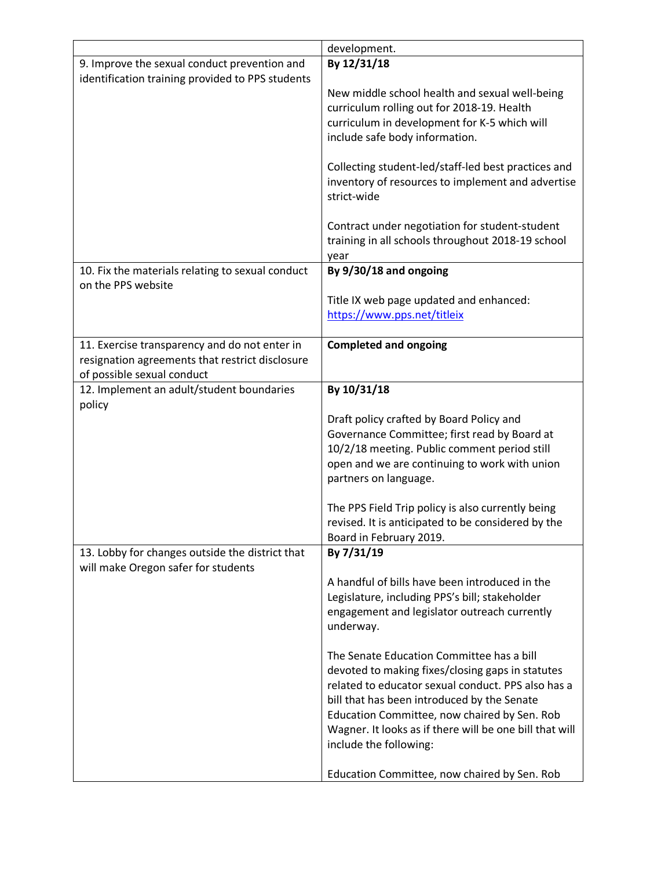|                                                  | development.                                                                  |
|--------------------------------------------------|-------------------------------------------------------------------------------|
| 9. Improve the sexual conduct prevention and     | By 12/31/18                                                                   |
| identification training provided to PPS students |                                                                               |
|                                                  | New middle school health and sexual well-being                                |
|                                                  | curriculum rolling out for 2018-19. Health                                    |
|                                                  | curriculum in development for K-5 which will                                  |
|                                                  | include safe body information.                                                |
|                                                  |                                                                               |
|                                                  | Collecting student-led/staff-led best practices and                           |
|                                                  | inventory of resources to implement and advertise                             |
|                                                  | strict-wide                                                                   |
|                                                  |                                                                               |
|                                                  | Contract under negotiation for student-student                                |
|                                                  | training in all schools throughout 2018-19 school                             |
|                                                  | year                                                                          |
| 10. Fix the materials relating to sexual conduct | By 9/30/18 and ongoing                                                        |
| on the PPS website                               |                                                                               |
|                                                  | Title IX web page updated and enhanced:                                       |
|                                                  | https://www.pps.net/titleix                                                   |
|                                                  |                                                                               |
| 11. Exercise transparency and do not enter in    | <b>Completed and ongoing</b>                                                  |
| resignation agreements that restrict disclosure  |                                                                               |
| of possible sexual conduct                       |                                                                               |
| 12. Implement an adult/student boundaries        | By 10/31/18                                                                   |
| policy                                           |                                                                               |
|                                                  | Draft policy crafted by Board Policy and                                      |
|                                                  | Governance Committee; first read by Board at                                  |
|                                                  | 10/2/18 meeting. Public comment period still                                  |
|                                                  | open and we are continuing to work with union                                 |
|                                                  | partners on language.                                                         |
|                                                  |                                                                               |
|                                                  | The PPS Field Trip policy is also currently being                             |
|                                                  | revised. It is anticipated to be considered by the<br>Board in February 2019. |
| 13. Lobby for changes outside the district that  | By 7/31/19                                                                    |
| will make Oregon safer for students              |                                                                               |
|                                                  | A handful of bills have been introduced in the                                |
|                                                  | Legislature, including PPS's bill; stakeholder                                |
|                                                  | engagement and legislator outreach currently                                  |
|                                                  | underway.                                                                     |
|                                                  |                                                                               |
|                                                  | The Senate Education Committee has a bill                                     |
|                                                  | devoted to making fixes/closing gaps in statutes                              |
|                                                  | related to educator sexual conduct. PPS also has a                            |
|                                                  | bill that has been introduced by the Senate                                   |
|                                                  | Education Committee, now chaired by Sen. Rob                                  |
|                                                  | Wagner. It looks as if there will be one bill that will                       |
|                                                  | include the following:                                                        |
|                                                  |                                                                               |
|                                                  | Education Committee, now chaired by Sen. Rob                                  |